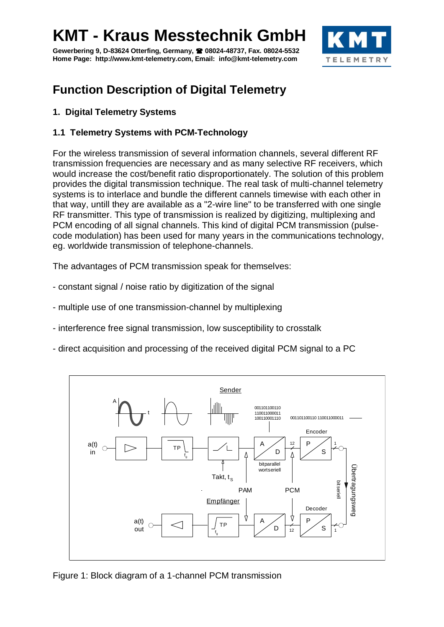**Gewerbering 9, D-83624 Otterfing, Germany, 08024-48737, Fax. 08024-5532 Home Page: http://www.kmt-telemetry.com, Email: info@kmt-telemetry.com**



### **Function Description of Digital Telemetry**

#### **1. Digital Telemetry Systems**

#### **1.1 Telemetry Systems with PCM-Technology**

For the wireless transmission of several information channels, several different RF transmission frequencies are necessary and as many selective RF receivers, which would increase the cost/benefit ratio disproportionately. The solution of this problem provides the digital transmission technique. The real task of multi-channel telemetry systems is to interlace and bundle the different cannels timewise with each other in that way, untill they are available as a "2-wire line" to be transferred with one single RF transmitter. This type of transmission is realized by digitizing, multiplexing and PCM encoding of all signal channels. This kind of digital PCM transmission (pulsecode modulation) has been used for many years in the communications technology, eg. worldwide transmission of telephone-channels.

The advantages of PCM transmission speak for themselves:

- constant signal / noise ratio by digitization of the signal
- multiple use of one transmission-channel by multiplexing
- interference free signal transmission, low susceptibility to crosstalk
- direct acquisition and processing of the received digital PCM signal to a PC



Figure 1: Block diagram of a 1-channel PCM transmission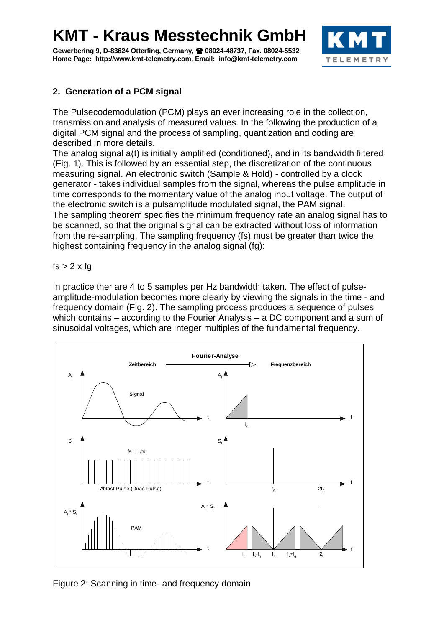Gewerbering 9, D-83624 Otterfing, Germany, <sup>2</sup> 08024-48737, Fax. 08024-5532 **Home Page: http://www.kmt-telemetry.com, Email: info@kmt-telemetry.com**



### **2. Generation of a PCM signal**

The Pulsecodemodulation (PCM) plays an ever increasing role in the collection, transmission and analysis of measured values. In the following the production of a digital PCM signal and the process of sampling, quantization and coding are described in more details.

The analog signal a(t) is initially amplified (conditioned), and in its bandwidth filtered (Fig. 1). This is followed by an essential step, the discretization of the continuous measuring signal. An electronic switch (Sample & Hold) - controlled by a clock generator - takes individual samples from the signal, whereas the pulse amplitude in time corresponds to the momentary value of the analog input voltage. The output of the electronic switch is a pulsamplitude modulated signal, the PAM signal. The sampling theorem specifies the minimum frequency rate an analog signal has to be scanned, so that the original signal can be extracted without loss of information from the re-sampling. The sampling frequency (fs) must be greater than twice the highest containing frequency in the analog signal (fg):

#### $fs > 2 \times fq$

In practice ther are 4 to 5 samples per Hz bandwidth taken. The effect of pulseamplitude-modulation becomes more clearly by viewing the signals in the time - and frequency domain (Fig. 2). The sampling process produces a sequence of pulses which contains – according to the Fourier Analysis – a DC component and a sum of sinusoidal voltages, which are integer multiples of the fundamental frequency.



Figure 2: Scanning in time- and frequency domain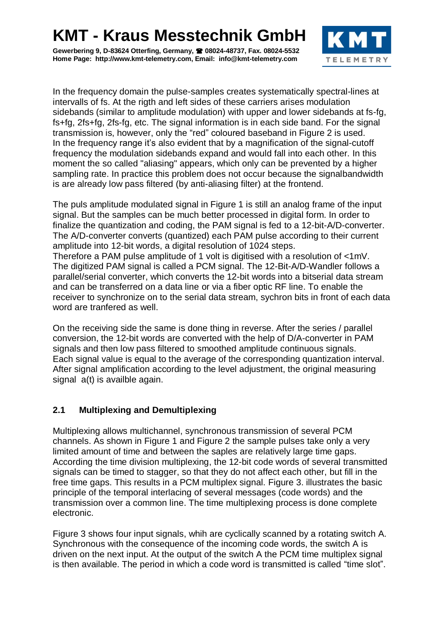**Gewerbering 9, D-83624 Otterfing, Germany, 08024-48737, Fax. 08024-5532 Home Page: http://www.kmt-telemetry.com, Email: info@kmt-telemetry.com**



In the frequency domain the pulse-samples creates systematically spectral-lines at intervalls of fs. At the rigth and left sides of these carriers arises modulation sidebands (similar to amplitude modulation) with upper and lower sidebands at fs-fg, fs+fg, 2fs+fg, 2fs-fg, etc. The signal information is in each side band. For the signal transmission is, however, only the "red" coloured baseband in Figure 2 is used. In the frequency range it's also evident that by a magnification of the signal-cutoff frequency the modulation sidebands expand and would fall into each other. In this moment the so called "aliasing" appears, which only can be prevented by a higher sampling rate. In practice this problem does not occur because the signalbandwidth is are already low pass filtered (by anti-aliasing filter) at the frontend.

The puls amplitude modulated signal in Figure 1 is still an analog frame of the input signal. But the samples can be much better processed in digital form. In order to finalize the quantization and coding, the PAM signal is fed to a 12-bit-A/D-converter. The A/D-converter converts (quantized) each PAM pulse according to their current amplitude into 12-bit words, a digital resolution of 1024 steps. Therefore a PAM pulse amplitude of 1 volt is digitised with a resolution of <1mV. The digitized PAM signal is called a PCM signal. The 12-Bit-A/D-Wandler follows a parallel/serial converter, which converts the 12-bit words into a bitserial data stream and can be transferred on a data line or via a fiber optic RF line. To enable the receiver to synchronize on to the serial data stream, sychron bits in front of each data word are tranfered as well.

On the receiving side the same is done thing in reverse. After the series / parallel conversion, the 12-bit words are converted with the help of D/A-converter in PAM signals and then low pass filtered to smoothed amplitude continuous signals. Each signal value is equal to the average of the corresponding quantization interval. After signal amplification according to the level adjustment, the original measuring signal  $a(t)$  is availble again.

### **2.1 Multiplexing and Demultiplexing**

Multiplexing allows multichannel, synchronous transmission of several PCM channels. As shown in Figure 1 and Figure 2 the sample pulses take only a very limited amount of time and between the saples are relatively large time gaps. According the time division multiplexing, the 12-bit code words of several transmitted signals can be timed to stagger, so that they do not affect each other, but fill in the free time gaps. This results in a PCM multiplex signal. Figure 3. illustrates the basic principle of the temporal interlacing of several messages (code words) and the transmission over a common line. The time multiplexing process is done complete electronic.

Figure 3 shows four input signals, whih are cyclically scanned by a rotating switch A. Synchronous with the consequence of the incoming code words, the switch A is driven on the next input. At the output of the switch A the PCM time multiplex signal is then available. The period in which a code word is transmitted is called "time slot".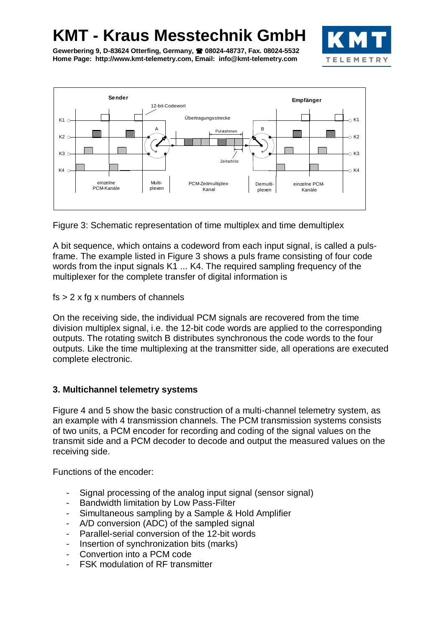

**Gewerbering 9, D-83624 Otterfing, Germany, 08024-48737, Fax. 08024-5532 Home Page: http://www.kmt-telemetry.com, Email: info@kmt-telemetry.com**



Figure 3: Schematic representation of time multiplex and time demultiplex

A bit sequence, which ontains a codeword from each input signal, is called a pulsframe. The example listed in Figure 3 shows a puls frame consisting of four code words from the input signals K1 ... K4. The required sampling frequency of the multiplexer for the complete transfer of digital information is

 $fs > 2 x fg x numbers of channels$ 

On the receiving side, the individual PCM signals are recovered from the time division multiplex signal, i.e. the 12-bit code words are applied to the corresponding outputs. The rotating switch B distributes synchronous the code words to the four outputs. Like the time multiplexing at the transmitter side, all operations are executed complete electronic.

#### **3. Multichannel telemetry systems**

Figure 4 and 5 show the basic construction of a multi-channel telemetry system, as an example with 4 transmission channels. The PCM transmission systems consists of two units, a PCM encoder for recording and coding of the signal values on the transmit side and a PCM decoder to decode and output the measured values on the receiving side.

Functions of the encoder:

- Signal processing of the analog input signal (sensor signal)
- Bandwidth limitation by Low Pass-Filter
- Simultaneous sampling by a Sample & Hold Amplifier
- A/D conversion (ADC) of the sampled signal
- Parallel-serial conversion of the 12-bit words
- Insertion of synchronization bits (marks)
- Convertion into a PCM code
- FSK modulation of RF transmitter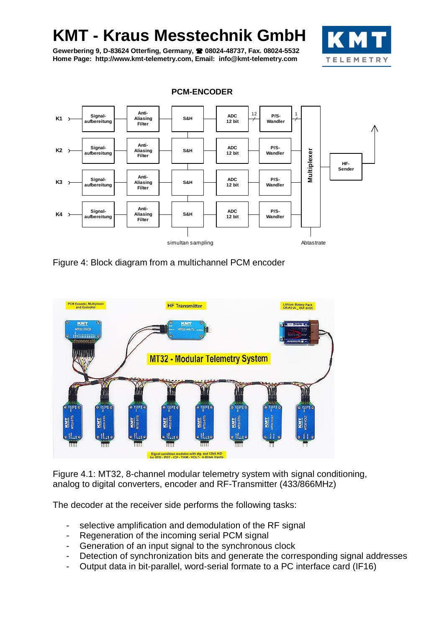**Gewerbering 9, D-83624 Otterfing, Germany, 08024-48737, Fax. 08024-5532 Home Page: http://www.kmt-telemetry.com, Email: info@kmt-telemetry.com**



**Signal-aufbereitung Anti-Aliasing Filter S&H ADC 12 bit P/S-Wandler HF-Sender K1**  $\begin{array}{c|c|c|c|c|c} \hline \text{Sigma} & \text{Sigma} & \text{ADC} \\ \hline \text{autbereitung} & \text{AIST} & \text{Eilasing} \end{array}$  S&H  $\begin{array}{|c|c|c|c|c|c|c|c|c|c|c|c|c|c|c} \hline \text{ADC} & \text{ADC} & \text{ADC} \end{array}$ **Anti-Aliasing Filter S&H ADC**<br>12 bit **Signalaufbereitung Anti-Aliasing Filter S&H ADC**<br>12 bit  $\begin{array}{c|c|c|c|c|c|c} \hline \text{A} & \text{B} & \text{B} & \text{B} \\ \hline \text{A} & \text{a} & \text{b} & \text{c} \end{array}$  Aliasing  $\begin{array}{c|c|c} \hline \text{A} & \text{B} & \text{B} & \text{A} \end{array}$   $\begin{array}{c|c|c} \hline \text{A} & \text{B} & \text{B} & \text{B} \end{array}$   $\begin{array}{c|c|c} \text{A} & \text{B} & \text{B} & \text{B} \end{array}$ **Signal-** $\begin{array}{c|c|c|c|c|c|c|c} \hline \end{array}$  aufbereitung **12 bit**<br>  $\begin{array}{c|c|c|c} \hline \end{array}$  Aliasing **12 bit Anti-Aliasing Filter**  $S\&H$   $\begin{array}{|c|c|c|c|}\n\hline\n& 12 \text{ bit}\n\end{array}$ **P/S-Wandler P/S-Wandler P/S-Wandler Multiplexer**  $\begin{array}{c|c}\n 12 & \text{P/S-} \\
\hline\n 12 & \text{Wandler}\n \end{array}$ simultan sampling and the state of the Abtastrate

**PCM-ENCODER**

Figure 4: Block diagram from a multichannel PCM encoder



Figure 4.1: MT32, 8-channel modular telemetry system with signal conditioning, analog to digital converters, encoder and RF-Transmitter (433/866MHz)

The decoder at the receiver side performs the following tasks:

- selective amplification and demodulation of the RF signal
- Regeneration of the incoming serial PCM signal
- Generation of an input signal to the synchronous clock
- Detection of synchronization bits and generate the corresponding signal addresses
- Output data in bit-parallel, word-serial formate to a PC interface card (IF16)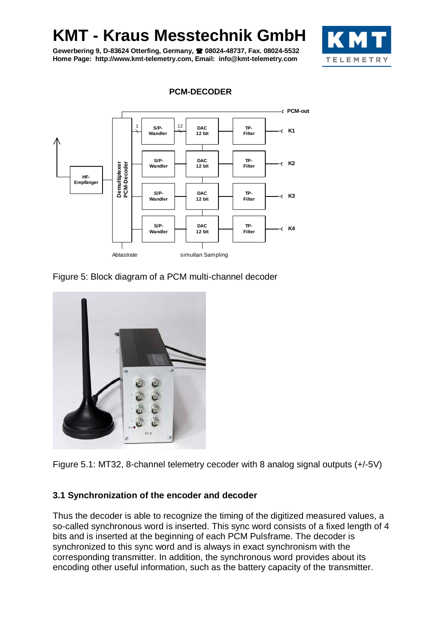**Gewerbering 9, D-83624 Otterfing, Germany, 08024-48737, Fax. 08024-5532 Home Page: http://www.kmt-telemetry.com, Email: info@kmt-telemetry.com**





**PCM-DECODER**

Figure 5: Block diagram of a PCM multi-channel decoder



Figure 5.1: MT32, 8-channel telemetry cecoder with 8 analog signal outputs (+/-5V)

#### **3.1 Synchronization of the encoder and decoder**

Thus the decoder is able to recognize the timing of the digitized measured values, a so-called synchronous word is inserted. This sync word consists of a fixed length of 4 bits and is inserted at the beginning of each PCM Pulsframe. The decoder is synchronized to this sync word and is always in exact synchronism with the corresponding transmitter. In addition, the synchronous word provides about its encoding other useful information, such as the battery capacity of the transmitter.